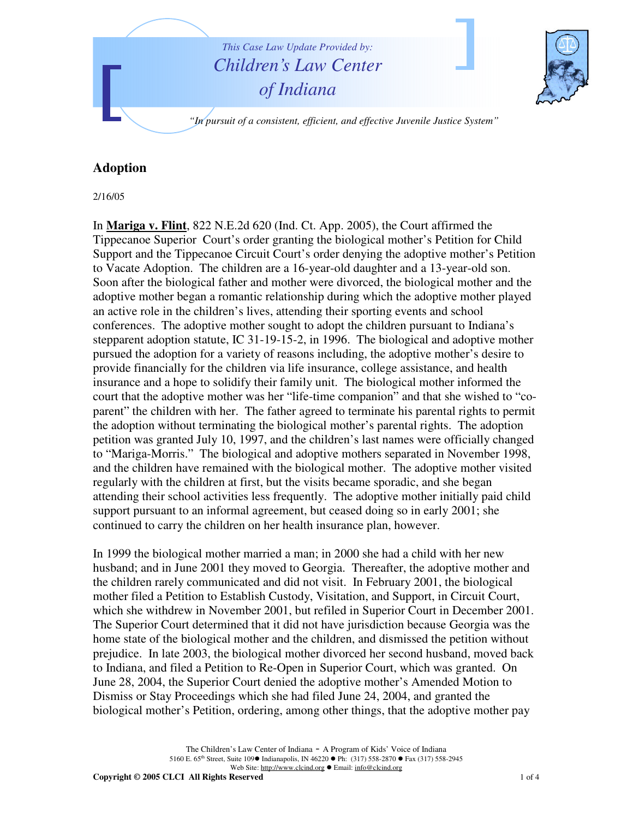

## **Adoption**

2/16/05

In **Mariga v. Flint**, 822 N.E.2d 620 (Ind. Ct. App. 2005), the Court affirmed the Tippecanoe Superior Court's order granting the biological mother's Petition for Child Support and the Tippecanoe Circuit Court's order denying the adoptive mother's Petition to Vacate Adoption. The children are a 16-year-old daughter and a 13-year-old son. Soon after the biological father and mother were divorced, the biological mother and the adoptive mother began a romantic relationship during which the adoptive mother played an active role in the children's lives, attending their sporting events and school conferences. The adoptive mother sought to adopt the children pursuant to Indiana's stepparent adoption statute, IC 31-19-15-2, in 1996. The biological and adoptive mother pursued the adoption for a variety of reasons including, the adoptive mother's desire to provide financially for the children via life insurance, college assistance, and health insurance and a hope to solidify their family unit. The biological mother informed the court that the adoptive mother was her "life-time companion" and that she wished to "coparent" the children with her. The father agreed to terminate his parental rights to permit the adoption without terminating the biological mother's parental rights. The adoption petition was granted July 10, 1997, and the children's last names were officially changed to "Mariga-Morris." The biological and adoptive mothers separated in November 1998, and the children have remained with the biological mother. The adoptive mother visited regularly with the children at first, but the visits became sporadic, and she began attending their school activities less frequently. The adoptive mother initially paid child support pursuant to an informal agreement, but ceased doing so in early 2001; she continued to carry the children on her health insurance plan, however.

In 1999 the biological mother married a man; in 2000 she had a child with her new husband; and in June 2001 they moved to Georgia. Thereafter, the adoptive mother and the children rarely communicated and did not visit. In February 2001, the biological mother filed a Petition to Establish Custody, Visitation, and Support, in Circuit Court, which she withdrew in November 2001, but refiled in Superior Court in December 2001. The Superior Court determined that it did not have jurisdiction because Georgia was the home state of the biological mother and the children, and dismissed the petition without prejudice. In late 2003, the biological mother divorced her second husband, moved back to Indiana, and filed a Petition to Re-Open in Superior Court, which was granted. On June 28, 2004, the Superior Court denied the adoptive mother's Amended Motion to Dismiss or Stay Proceedings which she had filed June 24, 2004, and granted the biological mother's Petition, ordering, among other things, that the adoptive mother pay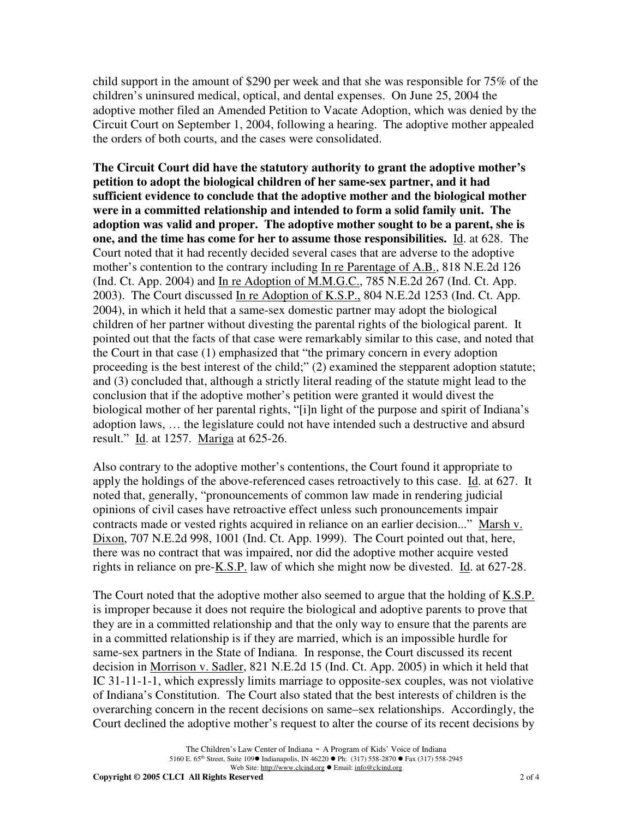child support in the amount of \$290 per week and that she was responsible for 75% of the children's uninsured medical, optical, and dental expenses. On June 25, 2004 the adoptive mother filed an Amended Petition to Vacate Adoption, which was denied by the Circuit Court on September 1, 2004, following a hearing. The adoptive mother appealed the orders of both courts, and the cases were consolidated.

**The Circuit Court did have the statutory authority to grant the adoptive mother's petition to adopt the biological children of her same-sex partner, and it had sufficient evidence to conclude that the adoptive mother and the biological mother were in a committed relationship and intended to form a solid family unit. The adoption was valid and proper. The adoptive mother sought to be a parent, she is one, and the time has come for her to assume those responsibilities.** Id. at 628. The Court noted that it had recently decided several cases that are adverse to the adoptive mother's contention to the contrary including In re Parentage of A.B., 818 N.E.2d 126 (Ind. Ct. App. 2004) and In re Adoption of M.M.G.C., 785 N.E.2d 267 (Ind. Ct. App. 2003). The Court discussed In re Adoption of K.S.P., 804 N.E.2d 1253 (Ind. Ct. App. 2004), in which it held that a same-sex domestic partner may adopt the biological children of her partner without divesting the parental rights of the biological parent. It pointed out that the facts of that case were remarkably similar to this case, and noted that the Court in that case (1) emphasized that "the primary concern in every adoption proceeding is the best interest of the child;" (2) examined the stepparent adoption statute; and (3) concluded that, although a strictly literal reading of the statute might lead to the conclusion that if the adoptive mother's petition were granted it would divest the biological mother of her parental rights, "[i]n light of the purpose and spirit of Indiana's adoption laws, … the legislature could not have intended such a destructive and absurd result." Id. at 1257. Mariga at 625-26.

Also contrary to the adoptive mother's contentions, the Court found it appropriate to apply the holdings of the above-referenced cases retroactively to this case. Id. at 627. It noted that, generally, "pronouncements of common law made in rendering judicial opinions of civil cases have retroactive effect unless such pronouncements impair contracts made or vested rights acquired in reliance on an earlier decision..." Marsh v. Dixon, 707 N.E.2d 998, 1001 (Ind. Ct. App. 1999). The Court pointed out that, here, there was no contract that was impaired, nor did the adoptive mother acquire vested rights in reliance on pre- $K.S.P.$  law of which she might now be divested. Id. at 627-28.

The Court noted that the adoptive mother also seemed to argue that the holding of K.S.P. is improper because it does not require the biological and adoptive parents to prove that they are in a committed relationship and that the only way to ensure that the parents are in a committed relationship is if they are married, which is an impossible hurdle for same-sex partners in the State of Indiana. In response, the Court discussed its recent decision in Morrison v. Sadler, 821 N.E.2d 15 (Ind. Ct. App. 2005) in which it held that IC 31-11-1-1, which expressly limits marriage to opposite-sex couples, was not violative of Indiana's Constitution. The Court also stated that the best interests of children is the overarching concern in the recent decisions on same–sex relationships. Accordingly, the Court declined the adoptive mother's request to alter the course of its recent decisions by

**Copyright © 2005 CLCI All Rights Reserved** 2 of 4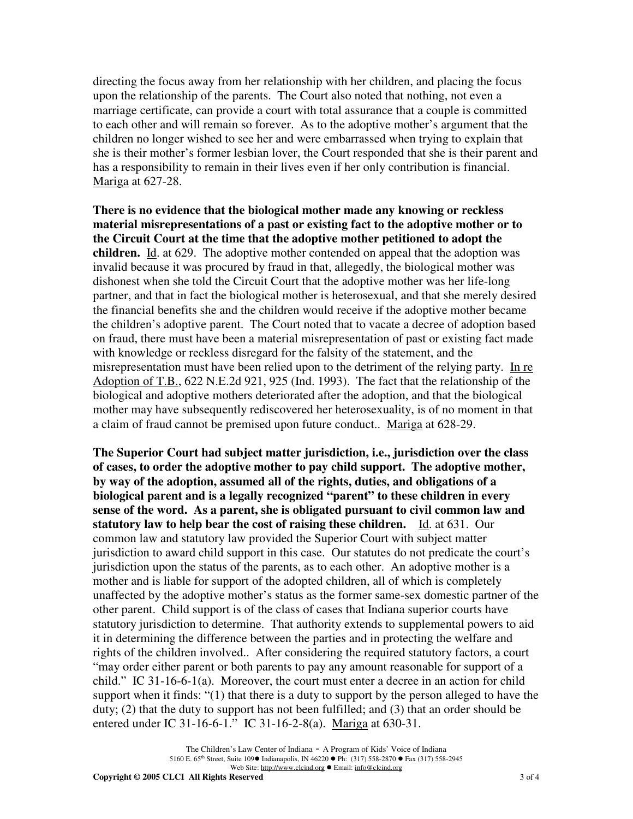directing the focus away from her relationship with her children, and placing the focus upon the relationship of the parents. The Court also noted that nothing, not even a marriage certificate, can provide a court with total assurance that a couple is committed to each other and will remain so forever. As to the adoptive mother's argument that the children no longer wished to see her and were embarrassed when trying to explain that she is their mother's former lesbian lover, the Court responded that she is their parent and has a responsibility to remain in their lives even if her only contribution is financial. Mariga at 627-28.

**There is no evidence that the biological mother made any knowing or reckless material misrepresentations of a past or existing fact to the adoptive mother or to the Circuit Court at the time that the adoptive mother petitioned to adopt the children.** Id. at 629. The adoptive mother contended on appeal that the adoption was invalid because it was procured by fraud in that, allegedly, the biological mother was dishonest when she told the Circuit Court that the adoptive mother was her life-long partner, and that in fact the biological mother is heterosexual, and that she merely desired the financial benefits she and the children would receive if the adoptive mother became the children's adoptive parent. The Court noted that to vacate a decree of adoption based on fraud, there must have been a material misrepresentation of past or existing fact made with knowledge or reckless disregard for the falsity of the statement, and the misrepresentation must have been relied upon to the detriment of the relying party. In re Adoption of T.B., 622 N.E.2d 921, 925 (Ind. 1993). The fact that the relationship of the biological and adoptive mothers deteriorated after the adoption, and that the biological mother may have subsequently rediscovered her heterosexuality, is of no moment in that a claim of fraud cannot be premised upon future conduct.. Mariga at 628-29.

**The Superior Court had subject matter jurisdiction, i.e., jurisdiction over the class of cases, to order the adoptive mother to pay child support. The adoptive mother, by way of the adoption, assumed all of the rights, duties, and obligations of a biological parent and is a legally recognized "parent" to these children in every sense of the word. As a parent, she is obligated pursuant to civil common law and statutory law to help bear the cost of raising these children.** Id. at 631. Our common law and statutory law provided the Superior Court with subject matter jurisdiction to award child support in this case. Our statutes do not predicate the court's jurisdiction upon the status of the parents, as to each other. An adoptive mother is a mother and is liable for support of the adopted children, all of which is completely unaffected by the adoptive mother's status as the former same-sex domestic partner of the other parent. Child support is of the class of cases that Indiana superior courts have statutory jurisdiction to determine. That authority extends to supplemental powers to aid it in determining the difference between the parties and in protecting the welfare and rights of the children involved.. After considering the required statutory factors, a court "may order either parent or both parents to pay any amount reasonable for support of a child." IC 31-16-6-1(a). Moreover, the court must enter a decree in an action for child support when it finds: "(1) that there is a duty to support by the person alleged to have the duty; (2) that the duty to support has not been fulfilled; and (3) that an order should be entered under IC 31-16-6-1." IC 31-16-2-8(a). Mariga at 630-31.

**Copyright © 2005 CLCI All Rights Reserved** 3 of 4